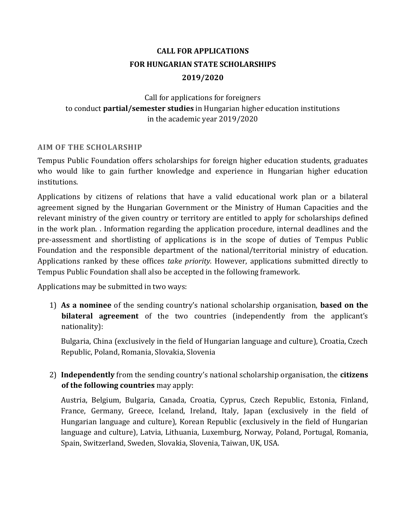# **CALL FOR APPLICATIONS FOR HUNGARIAN STATE SCHOLARSHIPS 2019/2020**

# Call for applications for foreigners to conduct **partial/semester studies** in Hungarian higher education institutions in the academic year 2019/2020

### **AIM OF THE SCHOLARSHIP**

Tempus Public Foundation offers scholarships for foreign higher education students, graduates who would like to gain further knowledge and experience in Hungarian higher education institutions.

Applications by citizens of relations that have a valid educational work plan or a bilateral agreement signed by the Hungarian Government or the Ministry of Human Capacities and the relevant ministry of the given country or territory are entitled to apply for scholarships defined in the work plan. . Information regarding the application procedure, internal deadlines and the pre-assessment and shortlisting of applications is in the scope of duties of Tempus Public Foundation and the responsible department of the national/territorial ministry of education. Applications ranked by these offices *take priority.* However, applications submitted directly to Tempus Public Foundation shall also be accepted in the following framework.

Applications may be submitted in two ways:

1) **As a nominee** of the sending country's national scholarship organisation, **based on the bilateral agreement** of the two countries (independently from the applicant's nationality):

Bulgaria, China (exclusively in the field of Hungarian language and culture), Croatia, Czech Republic, Poland, Romania, Slovakia, Slovenia

2) **Independently** from the sending country's national scholarship organisation, the **citizens of the following countries** may apply:

Austria, Belgium, Bulgaria, Canada, Croatia, Cyprus, Czech Republic, Estonia, Finland, France, Germany, Greece, Iceland, Ireland, Italy, Japan (exclusively in the field of Hungarian language and culture), Korean Republic (exclusively in the field of Hungarian language and culture), Latvia, Lithuania, Luxemburg, Norway, Poland, Portugal, Romania, Spain, Switzerland, Sweden, Slovakia, Slovenia, Taiwan, UK, USA.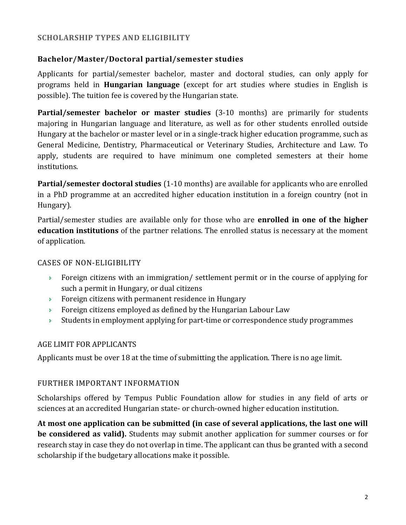### **SCHOLARSHIP TYPES AND ELIGIBILITY**

### **Bachelor/Master/Doctoral partial/semester studies**

Applicants for partial/semester bachelor, master and doctoral studies, can only apply for programs held in **Hungarian language** (except for art studies where studies in English is possible). The tuition fee is covered by the Hungarian state.

**Partial/semester bachelor or master studies** (3-10 months) are primarily for students majoring in Hungarian language and literature, as well as for other students enrolled outside Hungary at the bachelor or master level or in a single-track higher education programme, such as General Medicine, Dentistry, Pharmaceutical or Veterinary Studies, Architecture and Law. To apply, students are required to have minimum one completed semesters at their home institutions.

**Partial/semester doctoral studies** (1-10 months) are available for applicants who are enrolled in a PhD programme at an accredited higher education institution in a foreign country (not in Hungary).

Partial/semester studies are available only for those who are **enrolled in one of the higher education institutions** of the partner relations. The enrolled status is necessary at the moment of application.

### CASES OF NON-ELIGIBILITY

- Foreign citizens with an immigration/ settlement permit or in the course of applying for such a permit in Hungary, or dual citizens
- **Foreign citizens with permanent residence in Hungary**
- **Foreign citizens employed as defined by the Hungarian Labour Law**
- Students in employment applying for part-time or correspondence study programmes

### AGE LIMIT FOR APPLICANTS

Applicants must be over 18 at the time of submitting the application. There is no age limit.

### FURTHER IMPORTANT INFORMATION

Scholarships offered by Tempus Public Foundation allow for studies in any field of arts or sciences at an accredited Hungarian state- or church-owned higher education institution.

**At most one application can be submitted (in case of several applications, the last one will be considered as valid).** Students may submit another application for summer courses or for research stay in case they do not overlap in time. The applicant can thus be granted with a second scholarship if the budgetary allocations make it possible.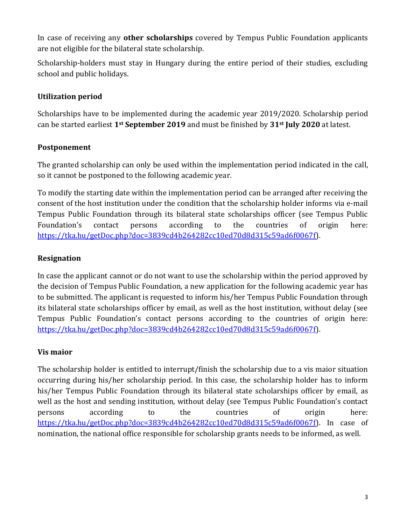In case of receiving any **other scholarships** covered by Tempus Public Foundation applicants are not eligible for the bilateral state scholarship.

Scholarship-holders must stay in Hungary during the entire period of their studies, excluding school and public holidays.

# **Utilization period**

Scholarships have to be implemented during the academic year 2019/2020. Scholarship period can be started earliest **1st September 2019** and must be finished by **31st July 2020** at latest.

# **Postponement**

The granted scholarship can only be used within the implementation period indicated in the call, so it cannot be postponed to the following academic year.

To modify the starting date within the implementation period can be arranged after receiving the consent of the host institution under the condition that the scholarship holder informs via e-mail Tempus Public Foundation through its bilateral state scholarships officer (see Tempus Public Foundation's contact persons according to the countries of origin here: [https://tka.hu/getDoc.php?doc=3839cd4b264282cc10ed70d8d315c59ad6f0067f\)](https://tka.hu/getDoc.php?doc=3839cd4b264282cc10ed70d8d315c59ad6f0067f).

# **Resignation**

In case the applicant cannot or do not want to use the scholarship within the period approved by the decision of Tempus Public Foundation, a new application for the following academic year has to be submitted. The applicant is requested to inform his/her Tempus Public Foundation through its bilateral state scholarships officer by email, as well as the host institution, without delay (see Tempus Public Foundation's contact persons according to the countries of origin here: [https://tka.hu/getDoc.php?doc=3839cd4b264282cc10ed70d8d315c59ad6f0067f\)](https://tka.hu/getDoc.php?doc=3839cd4b264282cc10ed70d8d315c59ad6f0067f).

# **Vis maior**

The scholarship holder is entitled to interrupt/finish the scholarship due to a vis maior situation occurring during his/her scholarship period. In this case, the scholarship holder has to inform his/her Tempus Public Foundation through its bilateral state scholarships officer by email, as well as the host and sending institution, without delay (see Tempus Public Foundation's contact persons according to the countries of origin here: https://tka.hu/getDoc.php?doc=3839cd4b264282cc10ed70d8d315c59ad6f0067f). In case of nomination, the national office responsible for scholarship grants needs to be informed, as well.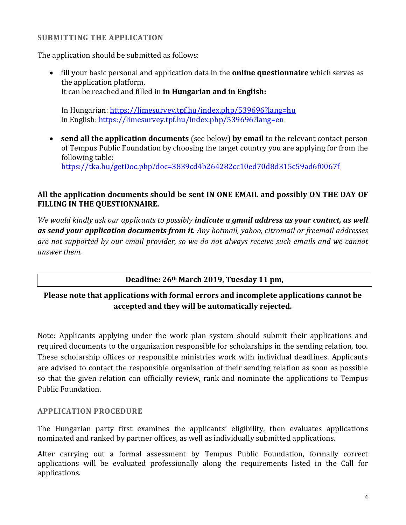### **SUBMITTING THE APPLICATION**

The application should be submitted as follows:

 fill your basic personal and application data in the **online questionnaire** which serves as the application platform. It can be reached and filled in **in Hungarian and in English:**

In Hungarian:<https://limesurvey.tpf.hu/index.php/539696?lang=hu> In English: <https://limesurvey.tpf.hu/index.php/539696?lang=en>

 **send all the application documents** (see below) **by email** to the relevant contact person of Tempus Public Foundation by choosing the target country you are applying for from the following table: <https://tka.hu/getDoc.php?doc=3839cd4b264282cc10ed70d8d315c59ad6f0067f>

### **All the application documents should be sent IN ONE EMAIL and possibly ON THE DAY OF FILLING IN THE QUESTIONNAIRE.**

*We would kindly ask our applicants to possibly indicate a gmail address as your contact, as well as send your application documents from it. Any hotmail, yahoo, citromail or freemail addresses are not supported by our email provider, so we do not always receive such emails and we cannot answer them.*

# **Deadline: 26th March 2019, Tuesday 11 pm,**

# **Please note that applications with formal errors and incomplete applications cannot be accepted and they will be automatically rejected.**

Note: Applicants applying under the work plan system should submit their applications and required documents to the organization responsible for scholarships in the sending relation, too. These scholarship offices or responsible ministries work with individual deadlines. Applicants are advised to contact the responsible organisation of their sending relation as soon as possible so that the given relation can officially review, rank and nominate the applications to Tempus Public Foundation.

### **APPLICATION PROCEDURE**

The Hungarian party first examines the applicants' eligibility, then evaluates applications nominated and ranked by partner offices, as well as individually submitted applications.

After carrying out a formal assessment by Tempus Public Foundation, formally correct applications will be evaluated professionally along the requirements listed in the Call for applications.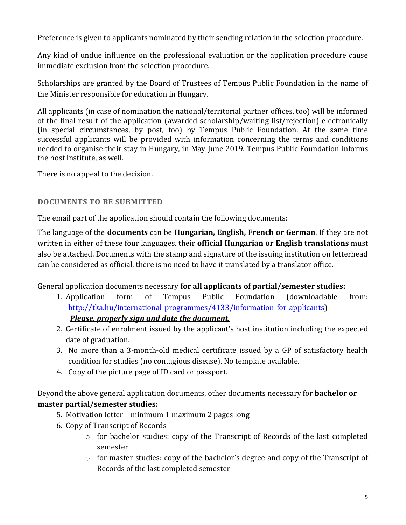Preference is given to applicants nominated by their sending relation in the selection procedure.

Any kind of undue influence on the professional evaluation or the application procedure cause immediate exclusion from the selection procedure.

Scholarships are granted by the Board of Trustees of Tempus Public Foundation in the name of the Minister responsible for education in Hungary.

All applicants (in case of nomination the national/territorial partner offices, too) will be informed of the final result of the application (awarded scholarship/waiting list/rejection) electronically (in special circumstances, by post, too) by Tempus Public Foundation. At the same time successful applicants will be provided with information concerning the terms and conditions needed to organise their stay in Hungary, in May-June 2019. Tempus Public Foundation informs the host institute, as well.

There is no appeal to the decision.

# **DOCUMENTS TO BE SUBMITTED**

The email part of the application should contain the following documents:

The language of the **documents** can be **Hungarian, English, French or German**. If they are not written in either of these four languages, their **official Hungarian or English translations** must also be attached. Documents with the stamp and signature of the issuing institution on letterhead can be considered as official, there is no need to have it translated by a translator office.

General application documents necessary **for all applicants of partial/semester studies:**

- 1. Application form of Tempus Public Foundation (downloadable from: [http://tka.hu/international-programmes/4133/information-for-applicants\)](http://tka.hu/international-programmes/4133/information-for-applicants) *Please, properly sign and date the document.*
- 2. Certificate of enrolment issued by the applicant's host institution including the expected date of graduation.
- 3. No more than a 3-month-old medical certificate issued by a GP of satisfactory health condition for studies (no contagious disease). No template available.
- 4. Copy of the picture page of ID card or passport.

Beyond the above general application documents, other documents necessary for **bachelor or master partial/semester studies:**

- 5. Motivation letter minimum 1 maximum 2 pages long
- 6. Copy of Transcript of Records
	- o for bachelor studies: copy of the Transcript of Records of the last completed semester
	- o for master studies: copy of the bachelor's degree and copy of the Transcript of Records of the last completed semester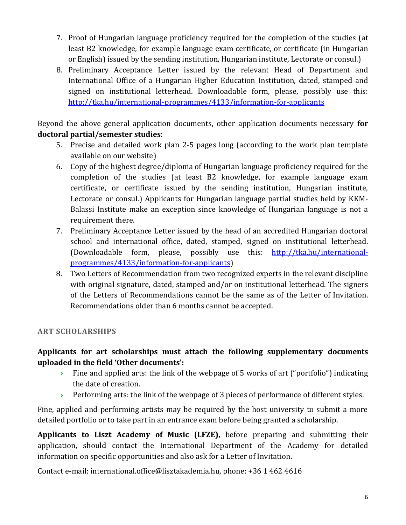- 7. Proof of Hungarian language proficiency required for the completion of the studies (at least B2 knowledge, for example language exam certificate, or certificate (in Hungarian or English) issued by the sending institution, Hungarian institute, Lectorate or consul.)
- 8. Preliminary Acceptance Letter issued by the relevant Head of Department and International Office of a Hungarian Higher Education Institution, dated, stamped and signed on institutional letterhead. Downloadable form, please, possibly use this: <http://tka.hu/international-programmes/4133/information-for-applicants>

Beyond the above general application documents, other application documents necessary **for doctoral partial/semester studies**:

- 5. Precise and detailed work plan 2-5 pages long (according to the work plan template available on our website)
- 6. Copy of the highest degree/diploma of Hungarian language proficiency required for the completion of the studies (at least B2 knowledge, for example language exam certificate, or certificate issued by the sending institution, Hungarian institute, Lectorate or consul.) Applicants for Hungarian language partial studies held by KKM-Balassi Institute make an exception since knowledge of Hungarian language is not a requirement there.
- 7. Preliminary Acceptance Letter issued by the head of an accredited Hungarian doctoral school and international office, dated, stamped, signed on institutional letterhead. (Downloadable form, please, possibly use this: [http://tka.hu/international](http://tka.hu/international-programmes/4133/information-for-applicants)[programmes/4133/information-for-applicants\)](http://tka.hu/international-programmes/4133/information-for-applicants)
- 8. Two Letters of Recommendation from two recognized experts in the relevant discipline with original signature, dated, stamped and/or on institutional letterhead. The signers of the Letters of Recommendations cannot be the same as of the Letter of Invitation. Recommendations older than 6 months cannot be accepted.

# **ART SCHOLARSHIPS**

# **Applicants for art scholarships must attach the following supplementary documents uploaded in the field 'Other documents':**

- Fine and applied arts: the link of the webpage of 5 works of art ("portfolio") indicating the date of creation.
- Performing arts: the link of the webpage of 3 pieces of performance of different styles.

Fine, applied and performing artists may be required by the host university to submit a more detailed portfolio or to take part in an entrance exam before being granted a scholarship.

**Applicants to Liszt Academy of Music (LFZE),** before preparing and submitting their application, should contact the International Department of the Academy for detailed information on specific opportunities and also ask for a Letter of Invitation.

Contact e-mail: [international.office@lisztakademia.hu,](mailto:international.office@lisztakademia.hu) phone: +36 1 462 4616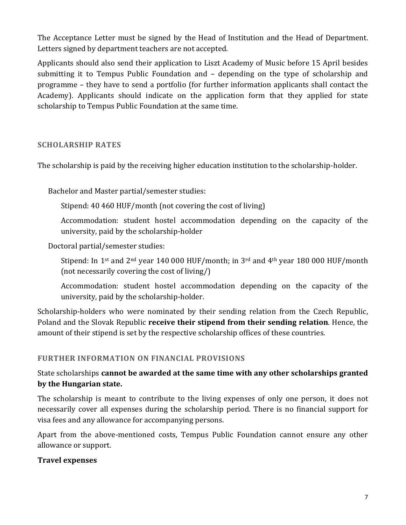The Acceptance Letter must be signed by the Head of Institution and the Head of Department. Letters signed by department teachers are not accepted.

Applicants should also send their application to Liszt Academy of Music before 15 April besides submitting it to Tempus Public Foundation and – depending on the type of scholarship and programme – they have to send a portfolio (for further information applicants shall contact the Academy). Applicants should indicate on the application form that they applied for state scholarship to Tempus Public Foundation at the same time.

### **SCHOLARSHIP RATES**

The scholarship is paid by the receiving higher education institution to the scholarship-holder.

Bachelor and Master partial/semester studies:

Stipend: 40 460 HUF/month (not covering the cost of living)

Accommodation: student hostel accommodation depending on the capacity of the university, paid by the scholarship-holder

Doctoral partial/semester studies:

Stipend: In 1<sup>st</sup> and 2<sup>nd</sup> year 140 000 HUF/month; in 3<sup>rd</sup> and 4<sup>th</sup> year 180 000 HUF/month (not necessarily covering the cost of living/)

Accommodation: student hostel accommodation depending on the capacity of the university, paid by the scholarship-holder.

Scholarship-holders who were nominated by their sending relation from the Czech Republic, Poland and the Slovak Republic **receive their stipend from their sending relation**. Hence, the amount of their stipend is set by the respective scholarship offices of these countries.

### **FURTHER INFORMATION ON FINANCIAL PROVISIONS**

# State scholarships **cannot be awarded at the same time with any other scholarships granted by the Hungarian state.**

The scholarship is meant to contribute to the living expenses of only one person, it does not necessarily cover all expenses during the scholarship period. There is no financial support for visa fees and any allowance for accompanying persons.

Apart from the above-mentioned costs, Tempus Public Foundation cannot ensure any other allowance or support.

### **Travel expenses**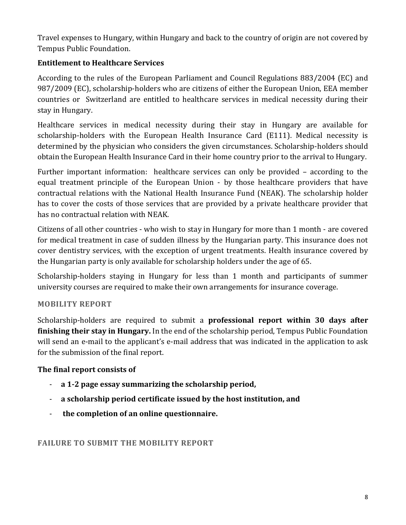Travel expenses to Hungary, within Hungary and back to the country of origin are not covered by Tempus Public Foundation.

# **Entitlement to Healthcare Services**

According to the rules of the European Parliament and Council Regulations 883/2004 (EC) and 987/2009 (EC), scholarship-holders who are citizens of either the European Union, EEA member countries or Switzerland are entitled to healthcare services in medical necessity during their stay in Hungary.

Healthcare services in medical necessity during their stay in Hungary are available for scholarship-holders with the European Health Insurance Card (E111). Medical necessity is determined by the physician who considers the given circumstances. Scholarship-holders should obtain the European Health Insurance Card in their home country prior to the arrival to Hungary.

Further important information: healthcare services can only be provided – according to the equal treatment principle of the European Union - by those healthcare providers that have contractual relations with the National Health Insurance Fund (NEAK). The scholarship holder has to cover the costs of those services that are provided by a private healthcare provider that has no contractual relation with NEAK.

Citizens of all other countries - who wish to stay in Hungary for more than 1 month - are covered for medical treatment in case of sudden illness by the Hungarian party. This insurance does not cover dentistry services, with the exception of urgent treatments. Health insurance covered by the Hungarian party is only available for scholarship holders under the age of 65.

Scholarship-holders staying in Hungary for less than 1 month and participants of summer university courses are required to make their own arrangements for insurance coverage.

# **MOBILITY REPORT**

Scholarship-holders are required to submit a **professional report within 30 days after finishing their stay in Hungary.** In the end of the scholarship period, Tempus Public Foundation will send an e-mail to the applicant's e-mail address that was indicated in the application to ask for the submission of the final report.

# **The final report consists of**

- **a 1-2 page essay summarizing the scholarship period,**
- **a scholarship period certificate issued by the host institution, and**
- **the completion of an online questionnaire.**

# **FAILURE TO SUBMIT THE MOBILITY REPORT**